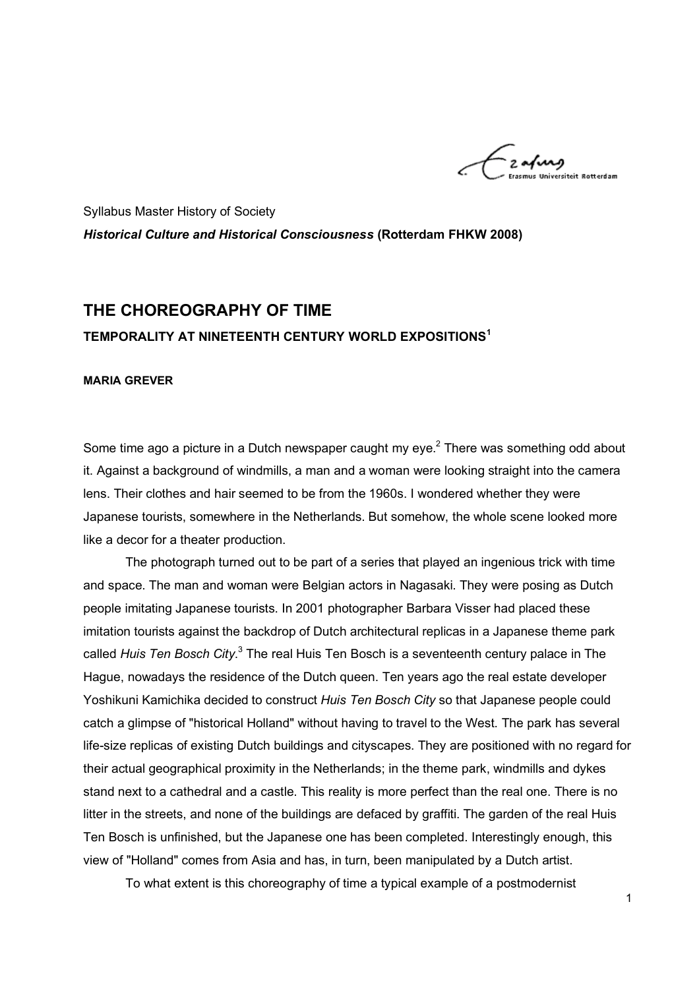-<br>2**a/in**g

Syllabus Master History of Society *Historical Culture and Historical Consciousness* **(Rotterdam FHKW 2008)**

# **THE CHOREOGRAPHY OF TIME TEMPORALITY AT NINETEENTH CENTURY WORLD EXPOSITIONS<sup>1</sup>**

#### **MARIA GREVER**

Some time ago a picture in a Dutch newspaper caught my eye. $^2$  There was something odd about it. Against a background of windmills, a man and a woman were looking straight into the camera lens. Their clothes and hair seemed to be from the 1960s. I wondered whether they were Japanese tourists, somewhere in the Netherlands. But somehow, the whole scene looked more like a decor for a theater production.

The photograph turned out to be part of a series that played an ingenious trick with time and space. The man and woman were Belgian actors in Nagasaki. They were posing as Dutch people imitating Japanese tourists. In 2001 photographer Barbara Visser had placed these imitation tourists against the backdrop of Dutch architectural replicas in a Japanese theme park called *Huis Ten Bosch City*.<sup>3</sup> The real Huis Ten Bosch is a seventeenth century palace in The Hague, nowadays the residence of the Dutch queen. Ten years ago the real estate developer Yoshikuni Kamichika decided to construct *Huis Ten Bosch City* so that Japanese people could catch a glimpse of "historical Holland" without having to travel to the West. The park has several life-size replicas of existing Dutch buildings and cityscapes. They are positioned with no regard for their actual geographical proximity in the Netherlands; in the theme park, windmills and dykes stand next to a cathedral and a castle. This reality is more perfect than the real one. There is no litter in the streets, and none of the buildings are defaced by graffiti. The garden of the real Huis Ten Bosch is unfinished, but the Japanese one has been completed. Interestingly enough, this view of "Holland" comes from Asia and has, in turn, been manipulated by a Dutch artist.

To what extent is this choreography of time a typical example of a postmodernist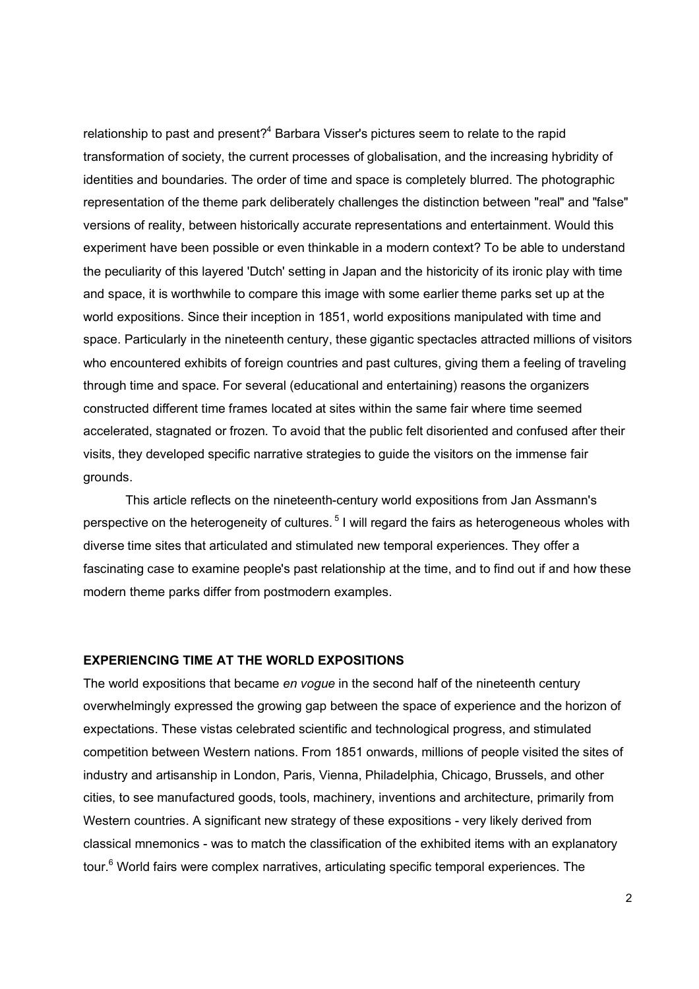relationship to past and present? $4$  Barbara Visser's pictures seem to relate to the rapid transformation of society, the current processes of globalisation, and the increasing hybridity of identities and boundaries. The order of time and space is completely blurred. The photographic representation of the theme park deliberately challenges the distinction between "real" and "false" versions of reality, between historically accurate representations and entertainment. Would this experiment have been possible or even thinkable in a modern context? To be able to understand the peculiarity of this layered 'Dutch' setting in Japan and the historicity of its ironic play with time and space, it is worthwhile to compare this image with some earlier theme parks set up at the world expositions. Since their inception in 1851, world expositions manipulated with time and space. Particularly in the nineteenth century, these gigantic spectacles attracted millions of visitors who encountered exhibits of foreign countries and past cultures, giving them a feeling of traveling through time and space. For several (educational and entertaining) reasons the organizers constructed different time frames located at sites within the same fair where time seemed accelerated, stagnated or frozen. To avoid that the public felt disoriented and confused after their visits, they developed specific narrative strategies to guide the visitors on the immense fair grounds.

This article reflects on the nineteenth-century world expositions from Jan Assmann's perspective on the heterogeneity of cultures. <sup>5</sup> I will regard the fairs as heterogeneous wholes with diverse time sites that articulated and stimulated new temporal experiences. They offer a fascinating case to examine people's past relationship at the time, and to find out if and how these modern theme parks differ from postmodern examples.

#### **EXPERIENCING TIME AT THE WORLD EXPOSITIONS**

The world expositions that became *en vogue* in the second half of the nineteenth century overwhelmingly expressed the growing gap between the space of experience and the horizon of expectations. These vistas celebrated scientific and technological progress, and stimulated competition between Western nations. From 1851 onwards, millions of people visited the sites of industry and artisanship in London, Paris, Vienna, Philadelphia, Chicago, Brussels, and other cities, to see manufactured goods, tools, machinery, inventions and architecture, primarily from Western countries. A significant new strategy of these expositions - very likely derived from classical mnemonics - was to match the classification of the exhibited items with an explanatory tour.<sup>6</sup> World fairs were complex narratives, articulating specific temporal experiences. The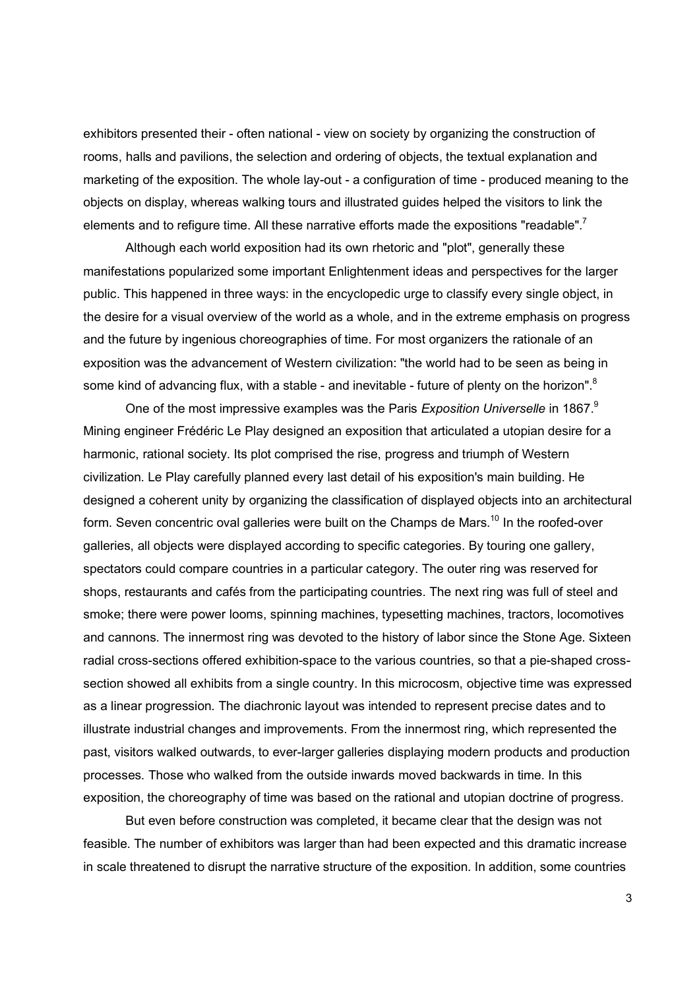exhibitors presented their - often national - view on society by organizing the construction of rooms, halls and pavilions, the selection and ordering of objects, the textual explanation and marketing of the exposition. The whole lay-out - a configuration of time - produced meaning to the objects on display, whereas walking tours and illustrated guides helped the visitors to link the elements and to refigure time. All these narrative efforts made the expositions "readable".<sup>7</sup>

Although each world exposition had its own rhetoric and "plot", generally these manifestations popularized some important Enlightenment ideas and perspectives for the larger public. This happened in three ways: in the encyclopedic urge to classify every single object, in the desire for a visual overview of the world as a whole, and in the extreme emphasis on progress and the future by ingenious choreographies of time. For most organizers the rationale of an exposition was the advancement of Western civilization: "the world had to be seen as being in some kind of advancing flux, with a stable - and inevitable - future of plenty on the horizon".<sup>8</sup>

One of the most impressive examples was the Paris *Exposition Universelle* in 1867.9 Mining engineer Frédéric Le Play designed an exposition that articulated a utopian desire for a harmonic, rational society. Its plot comprised the rise, progress and triumph of Western civilization. Le Play carefully planned every last detail of his exposition's main building. He designed a coherent unity by organizing the classification of displayed objects into an architectural form. Seven concentric oval galleries were built on the Champs de Mars.<sup>10</sup> In the roofed-over galleries, all objects were displayed according to specific categories. By touring one gallery, spectators could compare countries in a particular category. The outer ring was reserved for shops, restaurants and cafés from the participating countries. The next ring was full of steel and smoke; there were power looms, spinning machines, typesetting machines, tractors, locomotives and cannons. The innermost ring was devoted to the history of labor since the Stone Age. Sixteen radial cross-sections offered exhibition-space to the various countries, so that a pie-shaped crosssection showed all exhibits from a single country. In this microcosm, objective time was expressed as a linear progression. The diachronic layout was intended to represent precise dates and to illustrate industrial changes and improvements. From the innermost ring, which represented the past, visitors walked outwards, to ever-larger galleries displaying modern products and production processes. Those who walked from the outside inwards moved backwards in time. In this exposition, the choreography of time was based on the rational and utopian doctrine of progress.

But even before construction was completed, it became clear that the design was not feasible. The number of exhibitors was larger than had been expected and this dramatic increase in scale threatened to disrupt the narrative structure of the exposition. In addition, some countries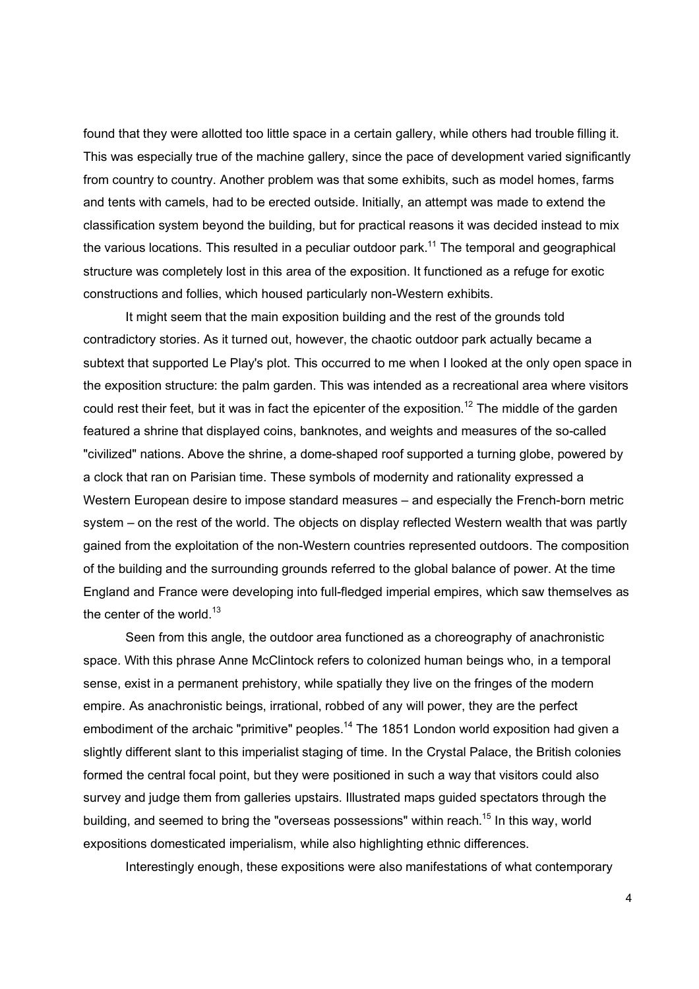found that they were allotted too little space in a certain gallery, while others had trouble filling it. This was especially true of the machine gallery, since the pace of development varied significantly from country to country. Another problem was that some exhibits, such as model homes, farms and tents with camels, had to be erected outside. Initially, an attempt was made to extend the classification system beyond the building, but for practical reasons it was decided instead to mix the various locations. This resulted in a peculiar outdoor park.<sup>11</sup> The temporal and geographical structure was completely lost in this area of the exposition. It functioned as a refuge for exotic constructions and follies, which housed particularly non-Western exhibits.

It might seem that the main exposition building and the rest of the grounds told contradictory stories. As it turned out, however, the chaotic outdoor park actually became a subtext that supported Le Play's plot. This occurred to me when I looked at the only open space in the exposition structure: the palm garden. This was intended as a recreational area where visitors could rest their feet, but it was in fact the epicenter of the exposition.<sup>12</sup> The middle of the garden featured a shrine that displayed coins, banknotes, and weights and measures of the so-called "civilized" nations. Above the shrine, a dome-shaped roof supported a turning globe, powered by a clock that ran on Parisian time. These symbols of modernity and rationality expressed a Western European desire to impose standard measures – and especially the French-born metric system – on the rest of the world. The objects on display reflected Western wealth that was partly gained from the exploitation of the non-Western countries represented outdoors. The composition of the building and the surrounding grounds referred to the global balance of power. At the time England and France were developing into full-fledged imperial empires, which saw themselves as the center of the world. $13$ 

Seen from this angle, the outdoor area functioned as a choreography of anachronistic space. With this phrase Anne McClintock refers to colonized human beings who, in a temporal sense, exist in a permanent prehistory, while spatially they live on the fringes of the modern empire. As anachronistic beings, irrational, robbed of any will power, they are the perfect embodiment of the archaic "primitive" peoples.<sup>14</sup> The 1851 London world exposition had given a slightly different slant to this imperialist staging of time. In the Crystal Palace, the British colonies formed the central focal point, but they were positioned in such a way that visitors could also survey and judge them from galleries upstairs. Illustrated maps guided spectators through the building, and seemed to bring the "overseas possessions" within reach.<sup>15</sup> In this way, world expositions domesticated imperialism, while also highlighting ethnic differences.

Interestingly enough, these expositions were also manifestations of what contemporary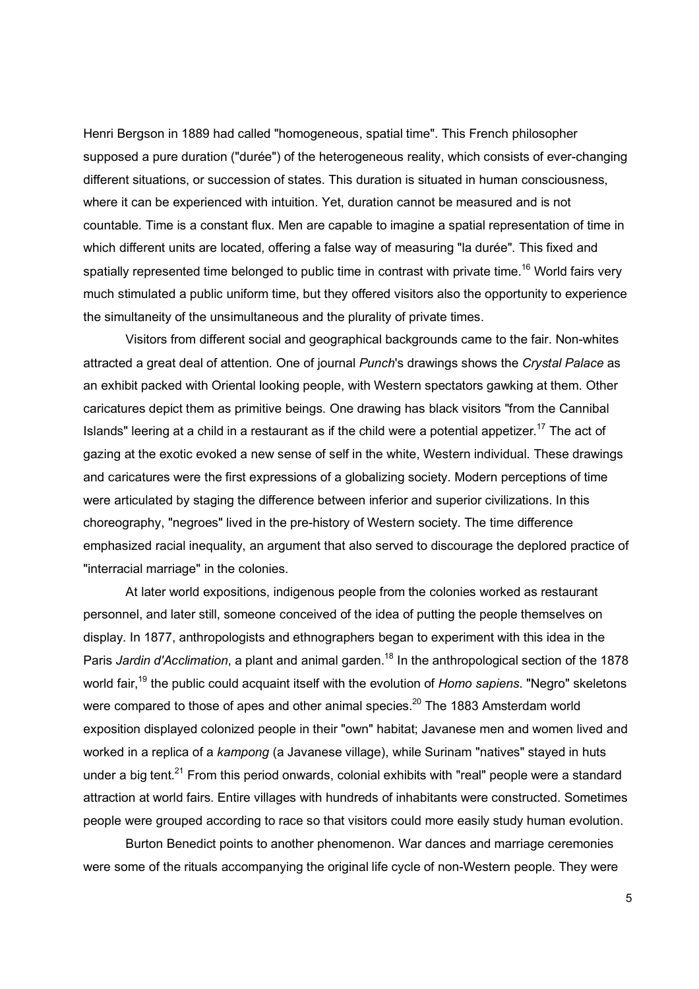Henri Bergson in 1889 had called "homogeneous, spatial time". This French philosopher supposed a pure duration ("durée") of the heterogeneous reality, which consists of ever-changing different situations, or succession of states. This duration is situated in human consciousness, where it can be experienced with intuition. Yet, duration cannot be measured and is not countable. Time is a constant flux. Men are capable to imagine a spatial representation of time in which different units are located, offering a false way of measuring "la durée". This fixed and spatially represented time belonged to public time in contrast with private time.<sup>16</sup> World fairs very much stimulated a public uniform time, but they offered visitors also the opportunity to experience the simultaneity of the unsimultaneous and the plurality of private times.

Visitors from different social and geographical backgrounds came to the fair. Non-whites attracted a great deal of attention. One of journal *Punch*'s drawings shows the *Crystal Palace* as an exhibit packed with Oriental looking people, with Western spectators gawking at them. Other caricatures depict them as primitive beings. One drawing has black visitors "from the Cannibal Islands" leering at a child in a restaurant as if the child were a potential appetizer.<sup>17</sup> The act of gazing at the exotic evoked a new sense of self in the white, Western individual. These drawings and caricatures were the first expressions of a globalizing society. Modern perceptions of time were articulated by staging the difference between inferior and superior civilizations. In this choreography, "negroes" lived in the pre-history of Western society. The time difference emphasized racial inequality, an argument that also served to discourage the deplored practice of "interracial marriage" in the colonies.

At later world expositions, indigenous people from the colonies worked as restaurant personnel, and later still, someone conceived of the idea of putting the people themselves on display. In 1877, anthropologists and ethnographers began to experiment with this idea in the Paris *Jardin d'Acclimation*, a plant and animal garden.<sup>18</sup> In the anthropological section of the 1878 world fair, <sup>19</sup> the public could acquaint itself with the evolution of *Homo sapiens*. "Negro" skeletons were compared to those of apes and other animal species.<sup>20</sup> The 1883 Amsterdam world exposition displayed colonized people in their "own" habitat; Javanese men and women lived and worked in a replica of a *kampong* (a Javanese village), while Surinam "natives" stayed in huts under a big tent.<sup>21</sup> From this period onwards, colonial exhibits with "real" people were a standard attraction at world fairs. Entire villages with hundreds of inhabitants were constructed. Sometimes people were grouped according to race so that visitors could more easily study human evolution.

Burton Benedict points to another phenomenon. War dances and marriage ceremonies were some of the rituals accompanying the original life cycle of non-Western people. They were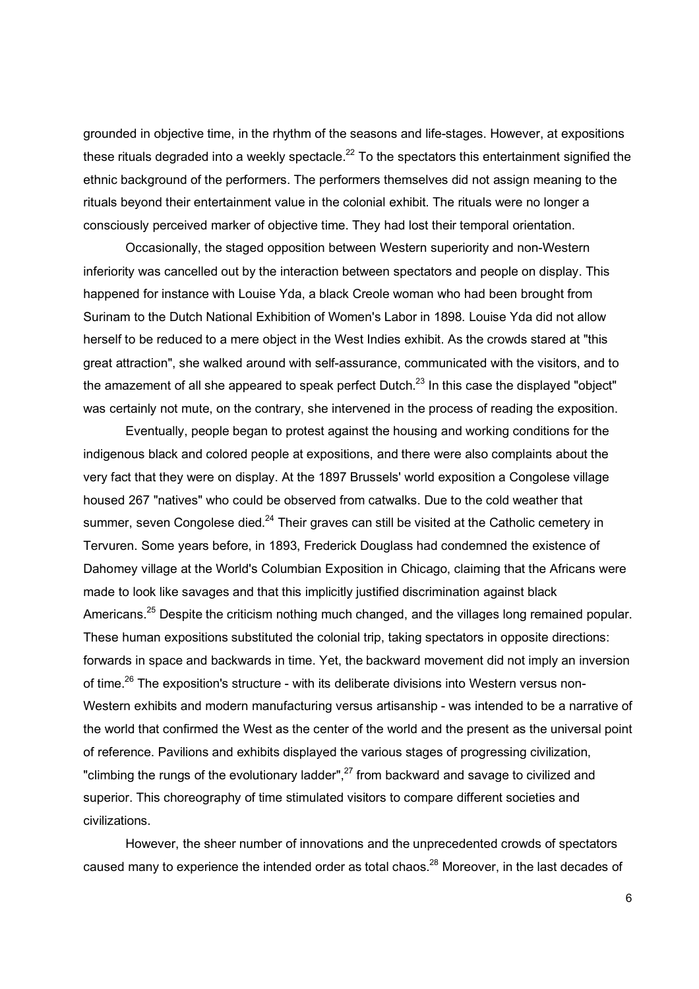grounded in objective time, in the rhythm of the seasons and life-stages. However, at expositions these rituals degraded into a weekly spectacle.<sup>22</sup> To the spectators this entertainment signified the ethnic background of the performers. The performers themselves did not assign meaning to the rituals beyond their entertainment value in the colonial exhibit. The rituals were no longer a consciously perceived marker of objective time. They had lost their temporal orientation.

Occasionally, the staged opposition between Western superiority and non-Western inferiority was cancelled out by the interaction between spectators and people on display. This happened for instance with Louise Yda, a black Creole woman who had been brought from Surinam to the Dutch National Exhibition of Women's Labor in 1898. Louise Yda did not allow herself to be reduced to a mere object in the West Indies exhibit. As the crowds stared at "this great attraction", she walked around with self-assurance, communicated with the visitors, and to the amazement of all she appeared to speak perfect Dutch.<sup>23</sup> In this case the displayed "object" was certainly not mute, on the contrary, she intervened in the process of reading the exposition.

Eventually, people began to protest against the housing and working conditions for the indigenous black and colored people at expositions, and there were also complaints about the very fact that they were on display. At the 1897 Brussels' world exposition a Congolese village housed 267 "natives" who could be observed from catwalks. Due to the cold weather that summer, seven Congolese died.<sup>24</sup> Their graves can still be visited at the Catholic cemetery in Tervuren. Some years before, in 1893, Frederick Douglass had condemned the existence of Dahomey village at the World's Columbian Exposition in Chicago, claiming that the Africans were made to look like savages and that this implicitly justified discrimination against black Americans.<sup>25</sup> Despite the criticism nothing much changed, and the villages long remained popular. These human expositions substituted the colonial trip, taking spectators in opposite directions: forwards in space and backwards in time. Yet, the backward movement did not imply an inversion of time.<sup>26</sup> The exposition's structure - with its deliberate divisions into Western versus non-Western exhibits and modern manufacturing versus artisanship - was intended to be a narrative of the world that confirmed the West as the center of the world and the present as the universal point of reference. Pavilions and exhibits displayed the various stages of progressing civilization, "climbing the rungs of the evolutionary ladder", $^{27}$  from backward and savage to civilized and superior. This choreography of time stimulated visitors to compare different societies and civilizations.

However, the sheer number of innovations and the unprecedented crowds of spectators caused many to experience the intended order as total chaos.<sup>28</sup> Moreover, in the last decades of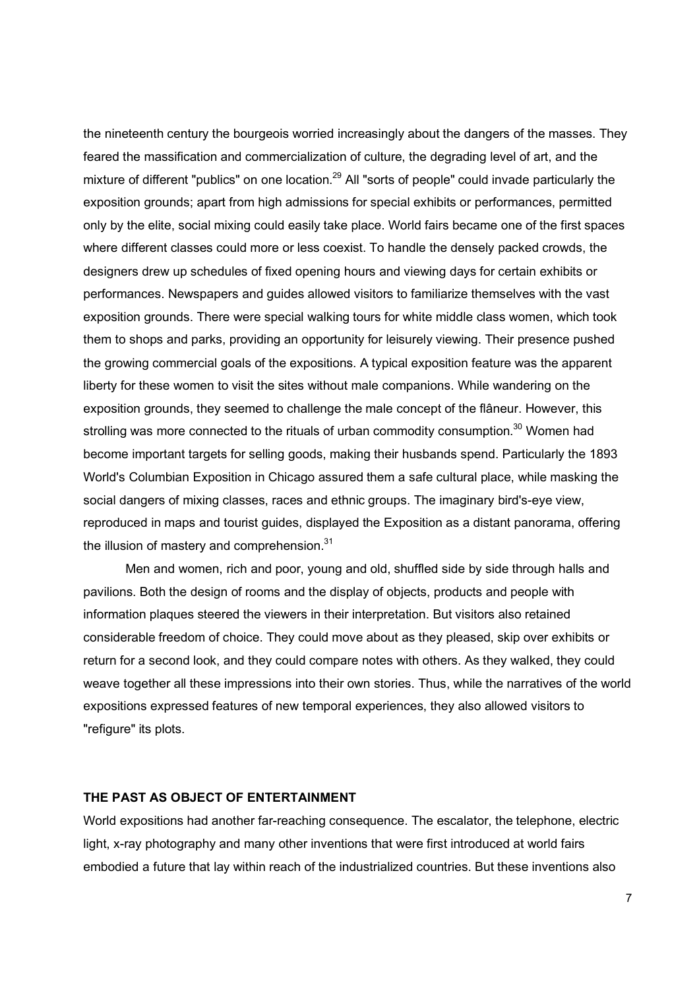the nineteenth century the bourgeois worried increasingly about the dangers of the masses. They feared the massification and commercialization of culture, the degrading level of art, and the mixture of different "publics" on one location.<sup>29</sup> All "sorts of people" could invade particularly the exposition grounds; apart from high admissions for special exhibits or performances, permitted only by the elite, social mixing could easily take place. World fairs became one of the first spaces where different classes could more or less coexist. To handle the densely packed crowds, the designers drew up schedules of fixed opening hours and viewing days for certain exhibits or performances. Newspapers and guides allowed visitors to familiarize themselves with the vast exposition grounds. There were special walking tours for white middle class women, which took them to shops and parks, providing an opportunity for leisurely viewing. Their presence pushed the growing commercial goals of the expositions. A typical exposition feature was the apparent liberty for these women to visit the sites without male companions. While wandering on the exposition grounds, they seemed to challenge the male concept of the flâneur. However, this strolling was more connected to the rituals of urban commodity consumption.<sup>30</sup> Women had become important targets for selling goods, making their husbands spend. Particularly the 1893 World's Columbian Exposition in Chicago assured them a safe cultural place, while masking the social dangers of mixing classes, races and ethnic groups. The imaginary bird's-eye view, reproduced in maps and tourist guides, displayed the Exposition as a distant panorama, offering the illusion of mastery and comprehension.<sup>31</sup>

Men and women, rich and poor, young and old, shuffled side by side through halls and pavilions. Both the design of rooms and the display of objects, products and people with information plaques steered the viewers in their interpretation. But visitors also retained considerable freedom of choice. They could move about as they pleased, skip over exhibits or return for a second look, and they could compare notes with others. As they walked, they could weave together all these impressions into their own stories. Thus, while the narratives of the world expositions expressed features of new temporal experiences, they also allowed visitors to "refigure" its plots.

### **THE PAST AS OBJECT OF ENTERTAINMENT**

World expositions had another far-reaching consequence. The escalator, the telephone, electric light, x-ray photography and many other inventions that were first introduced at world fairs embodied a future that lay within reach of the industrialized countries. But these inventions also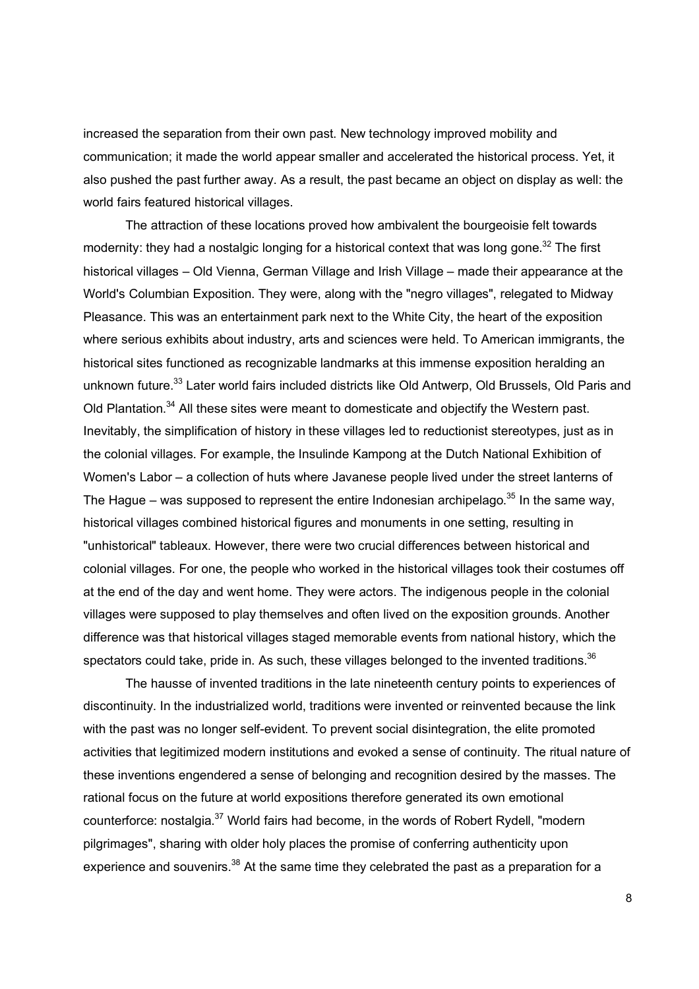increased the separation from their own past. New technology improved mobility and communication; it made the world appear smaller and accelerated the historical process. Yet, it also pushed the past further away. As a result, the past became an object on display as well: the world fairs featured historical villages.

The attraction of these locations proved how ambivalent the bourgeoisie felt towards modernity: they had a nostalgic longing for a historical context that was long gone.<sup>32</sup> The first historical villages – Old Vienna, German Village and Irish Village – made their appearance at the World's Columbian Exposition. They were, along with the "negro villages", relegated to Midway Pleasance. This was an entertainment park next to the White City, the heart of the exposition where serious exhibits about industry, arts and sciences were held. To American immigrants, the historical sites functioned as recognizable landmarks at this immense exposition heralding an unknown future.<sup>33</sup> Later world fairs included districts like Old Antwerp, Old Brussels, Old Paris and Old Plantation.<sup>34</sup> All these sites were meant to domesticate and objectify the Western past. Inevitably, the simplification of history in these villages led to reductionist stereotypes, just as in the colonial villages. For example, the Insulinde Kampong at the Dutch National Exhibition of Women's Labor – a collection of huts where Javanese people lived under the street lanterns of The Hague – was supposed to represent the entire Indonesian archipelago.<sup>35</sup> In the same way, historical villages combined historical figures and monuments in one setting, resulting in "unhistorical" tableaux. However, there were two crucial differences between historical and colonial villages. For one, the people who worked in the historical villages took their costumes off at the end of the day and went home. They were actors. The indigenous people in the colonial villages were supposed to play themselves and often lived on the exposition grounds. Another difference was that historical villages staged memorable events from national history, which the spectators could take, pride in. As such, these villages belonged to the invented traditions.<sup>36</sup>

The hausse of invented traditions in the late nineteenth century points to experiences of discontinuity. In the industrialized world, traditions were invented or reinvented because the link with the past was no longer self-evident. To prevent social disintegration, the elite promoted activities that legitimized modern institutions and evoked a sense of continuity. The ritual nature of these inventions engendered a sense of belonging and recognition desired by the masses. The rational focus on the future at world expositions therefore generated its own emotional counterforce: nostalgia.<sup>37</sup> World fairs had become, in the words of Robert Rydell, "modern pilgrimages", sharing with older holy places the promise of conferring authenticity upon experience and souvenirs.<sup>38</sup> At the same time they celebrated the past as a preparation for a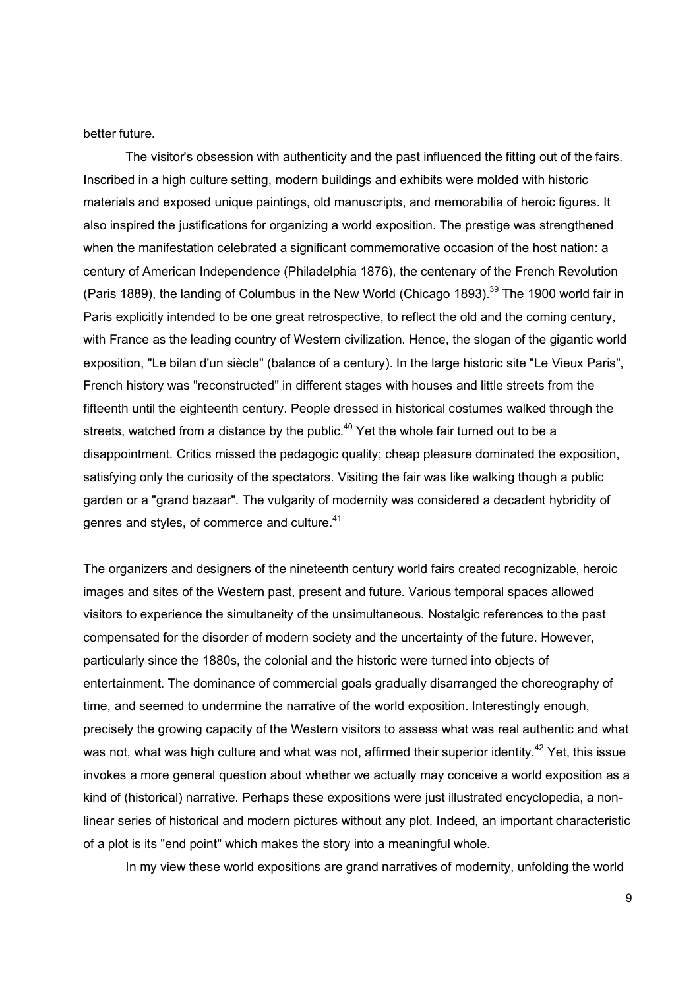better future.

The visitor's obsession with authenticity and the past influenced the fitting out of the fairs. Inscribed in a high culture setting, modern buildings and exhibits were molded with historic materials and exposed unique paintings, old manuscripts, and memorabilia of heroic figures. It also inspired the justifications for organizing a world exposition. The prestige was strengthened when the manifestation celebrated a significant commemorative occasion of the host nation: a century of American Independence (Philadelphia 1876), the centenary of the French Revolution (Paris 1889), the landing of Columbus in the New World (Chicago 1893).<sup>39</sup> The 1900 world fair in Paris explicitly intended to be one great retrospective, to reflect the old and the coming century, with France as the leading country of Western civilization. Hence, the slogan of the gigantic world exposition, "Le bilan d'un siècle" (balance of a century). In the large historic site "Le Vieux Paris", French history was "reconstructed" in different stages with houses and little streets from the fifteenth until the eighteenth century. People dressed in historical costumes walked through the streets, watched from a distance by the public.<sup>40</sup> Yet the whole fair turned out to be a disappointment. Critics missed the pedagogic quality; cheap pleasure dominated the exposition, satisfying only the curiosity of the spectators. Visiting the fair was like walking though a public garden or a "grand bazaar". The vulgarity of modernity was considered a decadent hybridity of genres and styles, of commerce and culture.<sup>41</sup>

The organizers and designers of the nineteenth century world fairs created recognizable, heroic images and sites of the Western past, present and future. Various temporal spaces allowed visitors to experience the simultaneity of the unsimultaneous. Nostalgic references to the past compensated for the disorder of modern society and the uncertainty of the future. However, particularly since the 1880s, the colonial and the historic were turned into objects of entertainment. The dominance of commercial goals gradually disarranged the choreography of time, and seemed to undermine the narrative of the world exposition. Interestingly enough, precisely the growing capacity of the Western visitors to assess what was real authentic and what was not, what was high culture and what was not, affirmed their superior identity.<sup>42</sup> Yet, this issue invokes a more general question about whether we actually may conceive a world exposition as a kind of (historical) narrative. Perhaps these expositions were just illustrated encyclopedia, a nonlinear series of historical and modern pictures without any plot. Indeed, an important characteristic of a plot is its "end point" which makes the story into a meaningful whole.

In my view these world expositions are grand narratives of modernity, unfolding the world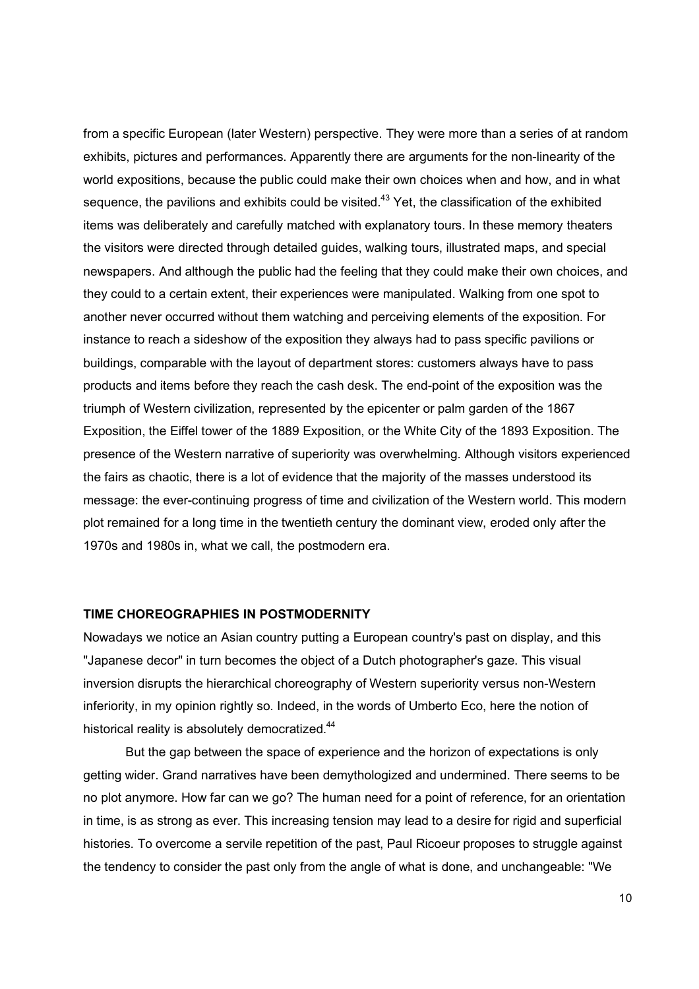from a specific European (later Western) perspective. They were more than a series of at random exhibits, pictures and performances. Apparently there are arguments for the non-linearity of the world expositions, because the public could make their own choices when and how, and in what sequence, the pavilions and exhibits could be visited.<sup>43</sup> Yet, the classification of the exhibited items was deliberately and carefully matched with explanatory tours. In these memory theaters the visitors were directed through detailed guides, walking tours, illustrated maps, and special newspapers. And although the public had the feeling that they could make their own choices, and they could to a certain extent, their experiences were manipulated. Walking from one spot to another never occurred without them watching and perceiving elements of the exposition. For instance to reach a sideshow of the exposition they always had to pass specific pavilions or buildings, comparable with the layout of department stores: customers always have to pass products and items before they reach the cash desk. The end-point of the exposition was the triumph of Western civilization, represented by the epicenter or palm garden of the 1867 Exposition, the Eiffel tower of the 1889 Exposition, or the White City of the 1893 Exposition. The presence of the Western narrative of superiority was overwhelming. Although visitors experienced the fairs as chaotic, there is a lot of evidence that the majority of the masses understood its message: the ever-continuing progress of time and civilization of the Western world. This modern plot remained for a long time in the twentieth century the dominant view, eroded only after the 1970s and 1980s in, what we call, the postmodern era.

## **TIME CHOREOGRAPHIES IN POSTMODERNITY**

Nowadays we notice an Asian country putting a European country's past on display, and this "Japanese decor" in turn becomes the object of a Dutch photographer's gaze. This visual inversion disrupts the hierarchical choreography of Western superiority versus non-Western inferiority, in my opinion rightly so. Indeed, in the words of Umberto Eco, here the notion of historical reality is absolutely democratized.<sup>44</sup>

But the gap between the space of experience and the horizon of expectations is only getting wider. Grand narratives have been demythologized and undermined. There seems to be no plot anymore. How far can we go? The human need for a point of reference, for an orientation in time, is as strong as ever. This increasing tension may lead to a desire for rigid and superficial histories. To overcome a servile repetition of the past, Paul Ricoeur proposes to struggle against the tendency to consider the past only from the angle of what is done, and unchangeable: "We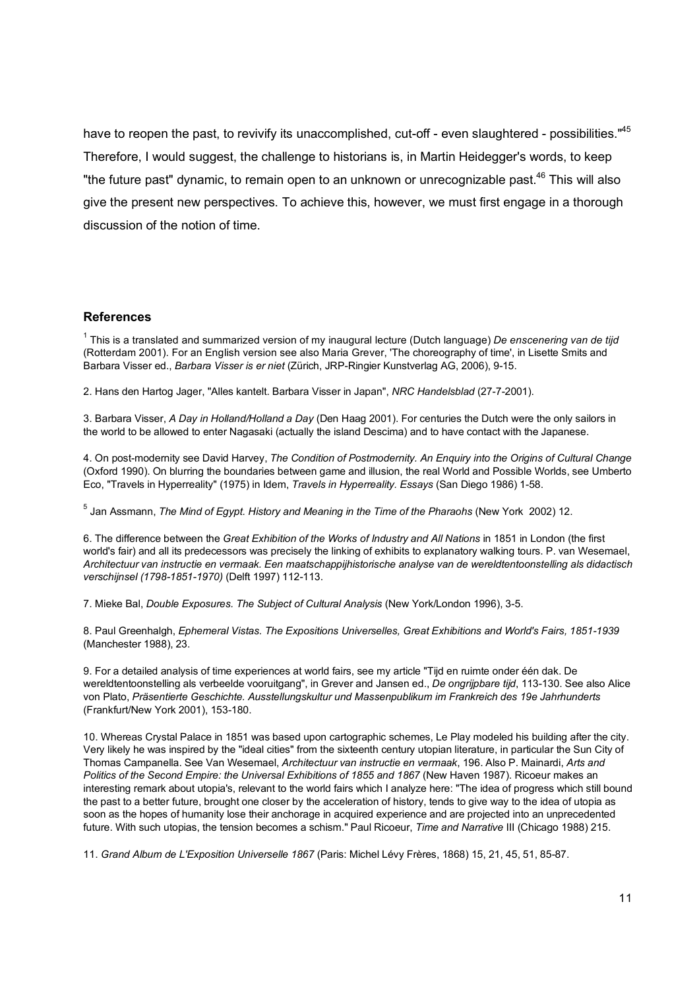have to reopen the past, to revivify its unaccomplished, cut-off - even slaughtered - possibilities."<sup>45</sup> Therefore, I would suggest, the challenge to historians is, in Martin Heidegger's words, to keep "the future past" dynamic, to remain open to an unknown or unrecognizable past.<sup>46</sup> This will also give the present new perspectives. To achieve this, however, we must first engage in a thorough discussion of the notion of time.

#### **References**

<sup>1</sup> This is a translated and summarized version of my inaugural lecture (Dutch language) *De enscenering van de tijd* (Rotterdam 2001). For an English version see also Maria Grever, 'The choreography of time', in Lisette Smits and Barbara Visser ed., *Barbara Visser is er niet* (Zürich, JRP-Ringier Kunstverlag AG, 2006), 9-15.

2. Hans den Hartog Jager, "Alles kantelt. Barbara Visser in Japan", *NRC Handelsblad* (27-7-2001).

3. Barbara Visser, *A Day in Holland/Holland a Day* (Den Haag 2001). For centuries the Dutch were the only sailors in the world to be allowed to enter Nagasaki (actually the island Descima) and to have contact with the Japanese.

4. On post-modernity see David Harvey, *The Condition of Postmodernity. An Enquiry into the Origins of Cultural Change* (Oxford 1990). On blurring the boundaries between game and illusion, the real World and Possible Worlds, see Umberto Eco, "Travels in Hyperreality" (1975) in Idem, *Travels in Hyperreality. Essays* (San Diego 1986) 1-58.

<sup>5</sup> Jan Assmann, *The Mind of Egypt. History and Meaning in the Time of the Pharaohs* (New York 2002) 12.

6. The difference between the *Great Exhibition of the Works of Industry and All Nations* in 1851 in London (the first world's fair) and all its predecessors was precisely the linking of exhibits to explanatory walking tours. P. van Wesemael, *Architectuur van instructie en vermaak. Een maatschappijhistorische analyse van de wereldtentoonstelling als didactisch verschijnsel (1798-1851-1970)* (Delft 1997) 112-113.

7. Mieke Bal, *Double Exposures. The Subject of Cultural Analysis* (New York/London 1996), 3-5.

8. Paul Greenhalgh, *Ephemeral Vistas. The Expositions Universelles, Great Exhibitions and World's Fairs, 1851-1939* (Manchester 1988), 23.

9. For a detailed analysis of time experiences at world fairs, see my article "Tijd en ruimte onder één dak. De wereldtentoonstelling als verbeelde vooruitgang", in Grever and Jansen ed., *De ongrijpbare tijd*, 113-130. See also Alice von Plato, *Präsentierte Geschichte. Ausstellungskultur und Massenpublikum im Frankreich des 19e Jahrhunderts* (Frankfurt/New York 2001), 153-180.

10. Whereas Crystal Palace in 1851 was based upon cartographic schemes, Le Play modeled his building after the city. Very likely he was inspired by the "ideal cities" from the sixteenth century utopian literature, in particular the Sun City of Thomas Campanella. See Van Wesemael, *Architectuur van instructie en vermaak*, 196. Also P. Mainardi, *Arts and Politics of the Second Empire: the Universal Exhibitions of 1855 and 1867* (New Haven 1987). Ricoeur makes an interesting remark about utopia's, relevant to the world fairs which I analyze here: "The idea of progress which still bound the past to a better future, brought one closer by the acceleration of history, tends to give way to the idea of utopia as soon as the hopes of humanity lose their anchorage in acquired experience and are projected into an unprecedented future. With such utopias, the tension becomes a schism." Paul Ricoeur, *Time and Narrative* III (Chicago 1988) 215.

11. *Grand Album de L'Exposition Universelle 1867* (Paris: Michel Lévy Frères, 1868) 15, 21, 45, 51, 85-87.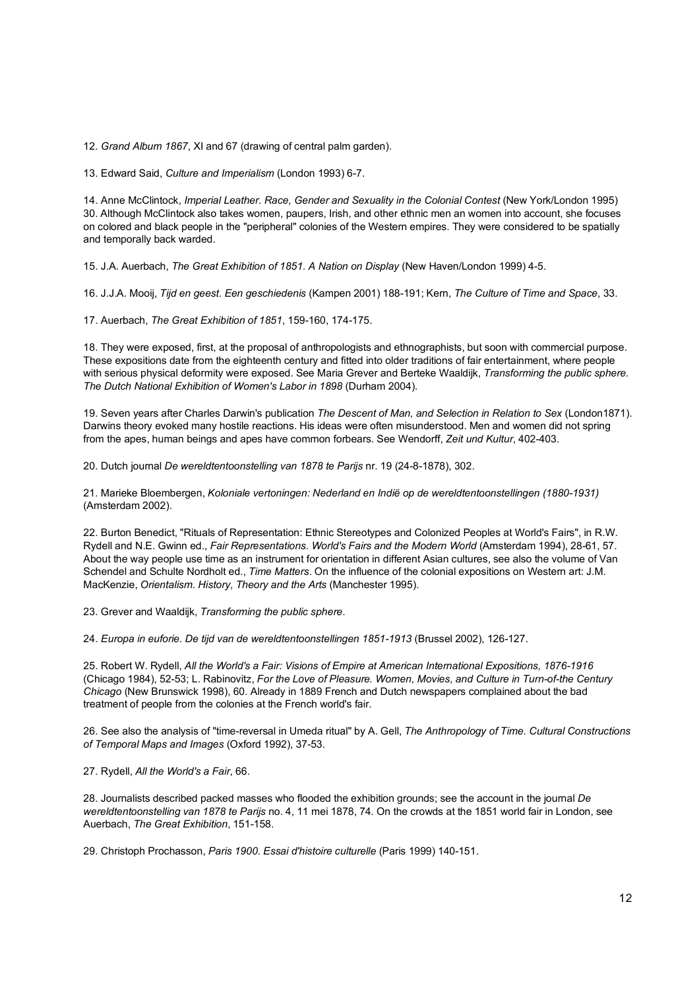12. *Grand Album 1867*, XI and 67 (drawing of central palm garden).

13. Edward Said, *Culture and Imperialism* (London 1993) 6-7.

14. Anne McClintock, *Imperial Leather. Race, Gender and Sexuality in the Colonial Contest* (New York/London 1995) 30. Although McClintock also takes women, paupers, Irish, and other ethnic men an women into account, she focuses on colored and black people in the "peripheral" colonies of the Western empires. They were considered to be spatially and temporally back warded.

15. J.A. Auerbach, *The Great Exhibition of 1851. A Nation on Display* (New Haven/London 1999) 4-5.

16. J.J.A. Mooij, *Tijd en geest. Een geschiedenis* (Kampen 2001) 188-191; Kern, *The Culture of Time and Space*, 33.

17. Auerbach, *The Great Exhibition of 1851*, 159-160, 174-175.

18. They were exposed, first, at the proposal of anthropologists and ethnographists, but soon with commercial purpose. These expositions date from the eighteenth century and fitted into older traditions of fair entertainment, where people with serious physical deformity were exposed. See Maria Grever and Berteke Waaldijk, *Transforming the public sphere. The Dutch National Exhibition of Women's Labor in 1898* (Durham 2004).

19. Seven years after Charles Darwin's publication *The Descent of Man, and Selection in Relation to Sex* (London1871). Darwins theory evoked many hostile reactions. His ideas were often misunderstood. Men and women did not spring from the apes, human beings and apes have common forbears. See Wendorff, *Zeit und Kultur*, 402-403.

20. Dutch journal *De wereldtentoonstelling van 1878 te Parijs* nr. 19 (24-8-1878), 302.

21. Marieke Bloembergen, *Koloniale vertoningen: Nederland en Indië op de wereldtentoonstellingen (1880-1931)* (Amsterdam 2002).

22. Burton Benedict, "Rituals of Representation: Ethnic Stereotypes and Colonized Peoples at World's Fairs", in R.W. Rydell and N.E. Gwinn ed., *Fair Representations. World's Fairs and the Modern World* (Amsterdam 1994), 28-61, 57. About the way people use time as an instrument for orientation in different Asian cultures, see also the volume of Van Schendel and Schulte Nordholt ed., *Time Matters*. On the influence of the colonial expositions on Western art: J.M. MacKenzie, *Orientalism. History, Theory and the Arts* (Manchester 1995).

23. Grever and Waaldijk, *Transforming the public sphere*.

24. *Europa in euforie. De tijd van de wereldtentoonstellingen 1851-1913* (Brussel 2002), 126-127.

25. Robert W. Rydell, *All the World's a Fair: Visions of Empire at American International Expositions, 1876-1916* (Chicago 1984), 52-53; L. Rabinovitz, *For the Love of Pleasure. Women, Movies, and Culture in Turn-of-the Century Chicago* (New Brunswick 1998), 60. Already in 1889 French and Dutch newspapers complained about the bad treatment of people from the colonies at the French world's fair.

26. See also the analysis of "time-reversal in Umeda ritual" by A. Gell, *The Anthropology of Time. Cultural Constructions of Temporal Maps and Images* (Oxford 1992), 37-53.

27. Rydell, *All the World's a Fair*, 66.

28. Journalists described packed masses who flooded the exhibition grounds; see the account in the journal *De wereldtentoonstelling van 1878 te Parijs* no. 4, 11 mei 1878, 74. On the crowds at the 1851 world fair in London, see Auerbach, *The Great Exhibition*, 151-158.

29. Christoph Prochasson, *Paris 1900. Essai d'histoire culturelle* (Paris 1999) 140-151.